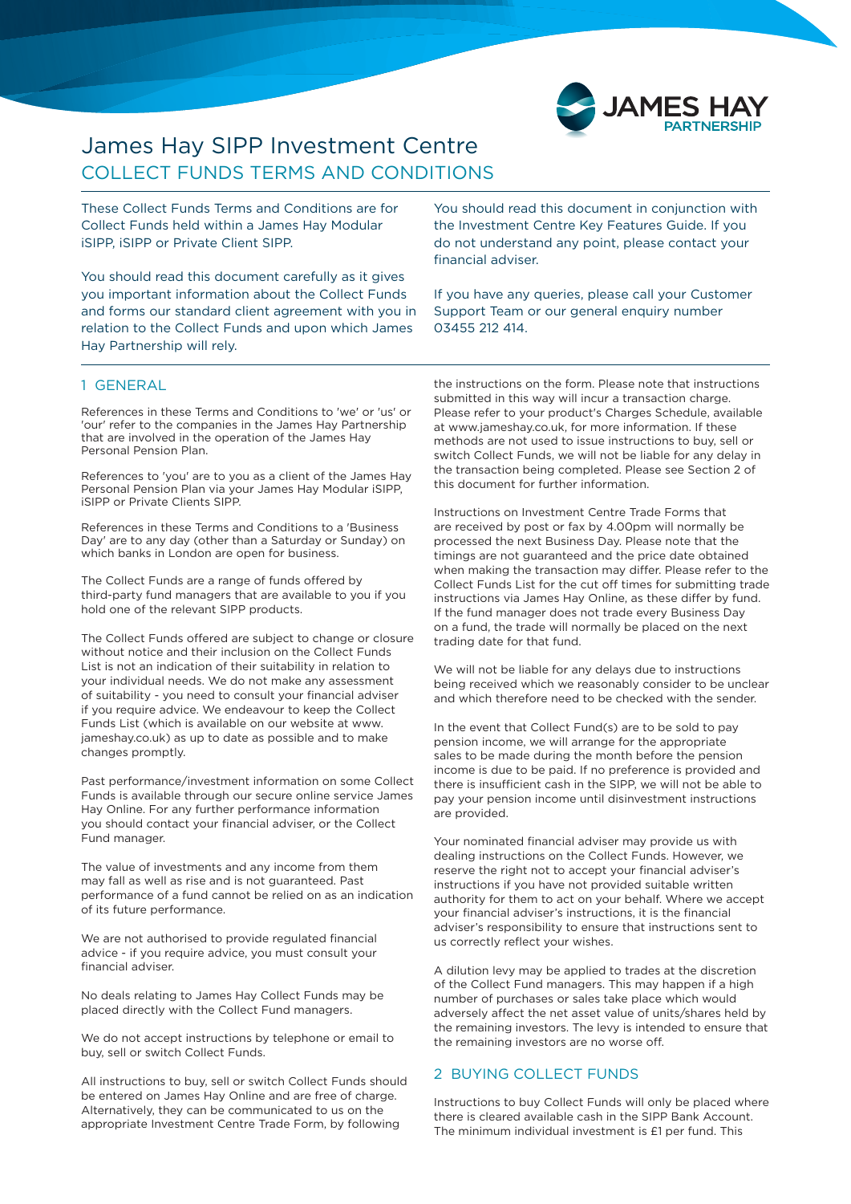

# COLLECT FUNDS TERMS AND CONDITIONS James Hay SIPP Investment Centre

These Collect Funds Terms and Conditions are for Collect Funds held within a James Hay Modular iSIPP, iSIPP or Private Client SIPP.

You should read this document carefully as it gives you important information about the Collect Funds and forms our standard client agreement with you in relation to the Collect Funds and upon which James Hay Partnership will rely.

You should read this document in conjunction with the Investment Centre Key Features Guide. If you do not understand any point, please contact your financial adviser.

If you have any queries, please call your Customer Support Team or our general enquiry number 03455 212 414.

#### 1 GENERAL

References in these Terms and Conditions to 'we' or 'us' or 'our' refer to the companies in the James Hay Partnership that are involved in the operation of the James Hay Personal Pension Plan.

References to 'you' are to you as a client of the James Hay Personal Pension Plan via your James Hay Modular iSIPP, iSIPP or Private Clients SIPP.

References in these Terms and Conditions to a 'Business Day' are to any day (other than a Saturday or Sunday) on which banks in London are open for business.

The Collect Funds are a range of funds offered by third-party fund managers that are available to you if you hold one of the relevant SIPP products.

The Collect Funds offered are subject to change or closure without notice and their inclusion on the Collect Funds List is not an indication of their suitability in relation to your individual needs. We do not make any assessment of suitability - you need to consult your financial adviser if you require advice. We endeavour to keep the Collect Funds List (which is available on our website at www. jameshay.co.uk) as up to date as possible and to make changes promptly.

Past performance/investment information on some Collect Funds is available through our secure online service James Hay Online. For any further performance information you should contact your financial adviser, or the Collect Fund manager.

The value of investments and any income from them may fall as well as rise and is not guaranteed. Past performance of a fund cannot be relied on as an indication of its future performance.

We are not authorised to provide regulated financial advice - if you require advice, you must consult your financial adviser.

No deals relating to James Hay Collect Funds may be placed directly with the Collect Fund managers.

We do not accept instructions by telephone or email to buy, sell or switch Collect Funds.

All instructions to buy, sell or switch Collect Funds should be entered on James Hay Online and are free of charge. Alternatively, they can be communicated to us on the appropriate Investment Centre Trade Form, by following

the instructions on the form. Please note that instructions submitted in this way will incur a transaction charge. Please refer to your product's Charges Schedule, available at www.jameshay.co.uk, for more information. If these methods are not used to issue instructions to buy, sell or switch Collect Funds, we will not be liable for any delay in the transaction being completed. Please see Section 2 of this document for further information.

Instructions on Investment Centre Trade Forms that are received by post or fax by 4.00pm will normally be processed the next Business Day. Please note that the timings are not guaranteed and the price date obtained when making the transaction may differ. Please refer to the Collect Funds List for the cut off times for submitting trade instructions via James Hay Online, as these differ by fund. If the fund manager does not trade every Business Day on a fund, the trade will normally be placed on the next trading date for that fund.

We will not be liable for any delays due to instructions being received which we reasonably consider to be unclear and which therefore need to be checked with the sender.

In the event that Collect Fund(s) are to be sold to pay pension income, we will arrange for the appropriate sales to be made during the month before the pension income is due to be paid. If no preference is provided and there is insufficient cash in the SIPP, we will not be able to pay your pension income until disinvestment instructions are provided.

Your nominated financial adviser may provide us with dealing instructions on the Collect Funds. However, we reserve the right not to accept your financial adviser's instructions if you have not provided suitable written authority for them to act on your behalf. Where we accept your financial adviser's instructions, it is the financial adviser's responsibility to ensure that instructions sent to us correctly reflect your wishes.

A dilution levy may be applied to trades at the discretion of the Collect Fund managers. This may happen if a high number of purchases or sales take place which would adversely affect the net asset value of units/shares held by the remaining investors. The levy is intended to ensure that the remaining investors are no worse off.

# 2 BUYING COLLECT FUNDS

Instructions to buy Collect Funds will only be placed where there is cleared available cash in the SIPP Bank Account. The minimum individual investment is £1 per fund. This